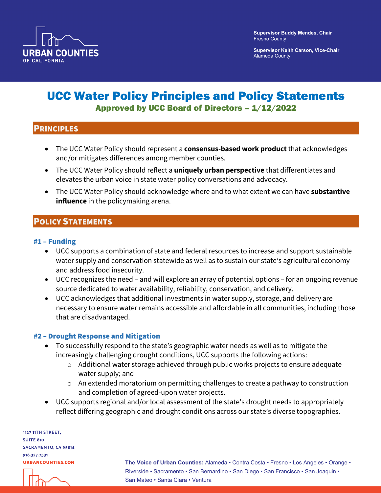

**Supervisor Keith Carson, Vice-Chair** Alameda County

# UCC Water Policy Principles and Policy Statements Approved by UCC Board of Directors – 1/12/2022

### **PRINCIPLES**

- The UCC Water Policy should represent a **consensus-based work product** that acknowledges and/or mitigates differences among member counties.
- The UCC Water Policy should reflect a **uniquely urban perspective** that differentiates and elevates the urban voice in state water policy conversations and advocacy.
- The UCC Water Policy should acknowledge where and to what extent we can have **substantive influence** in the policymaking arena.

# POLICY STATEMENTS

#### #1 – Funding

- UCC supports a combination of state and federal resources to increase and support sustainable water supply and conservation statewide as well as to sustain our state's agricultural economy and address food insecurity.
- UCC recognizes the need and will explore an array of potential options for an ongoing revenue source dedicated to water availability, reliability, conservation, and delivery.
- UCC acknowledges that additional investments in water supply, storage, and delivery are necessary to ensure water remains accessible and affordable in all communities, including those that are disadvantaged.

#### #2 – Drought Response and Mitigation

- To successfully respond to the state's geographic water needs as well as to mitigate the increasingly challenging drought conditions, UCC supports the following actions:
	- o Additional water storage achieved through public works projects to ensure adequate water supply; and
	- o An extended moratorium on permitting challenges to create a pathway to construction and completion of agreed-upon water projects.
- UCC supports regional and/or local assessment of the state's drought needs to appropriately reflect differing geographic and drought conditions across our state's diverse topographies.

1127 11TH STREET, **SUITE 810 SACRAMENTO, CA 95814** 916.327.7531 **URBANCOUNTIES.COM** 

**The Voice of Urban Counties:** Alameda • Contra Costa • Fresno • Los Angeles • Orange • Riverside • Sacramento • San Bernardino • San Diego • San Francisco • San Joaquin • San Mateo • Santa Clara • Ventura